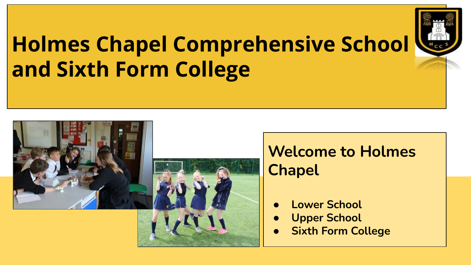# **Holmes Chapel Comprehensive School and Sixth Form College**







### **Welcome to Holmes Chapel**

- **● Lower School**
- **● Upper School**
- **● Sixth Form College**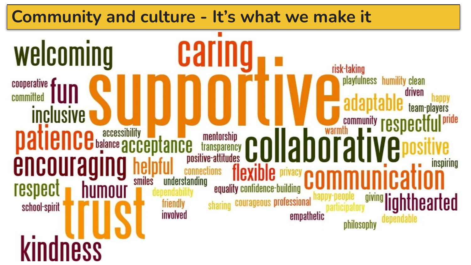#### **Community and culture - It's what we make it**welcoming Garn risk-taking playfulness humility clean cooperative driven committed team-players *inclusive* community **respect patience** accessibility **of accessibility COLLADCE** nrafi encouraging inspiring smiles understanding respect equality confidence-building **lighthearted** courageous professional friendly school-spirit involved empathetic dependable philosophy **kindness**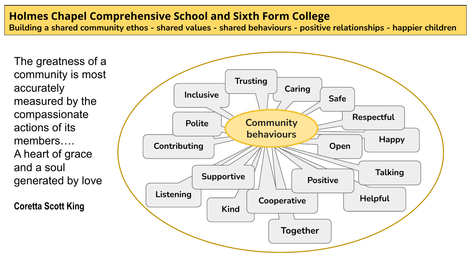#### **Holmes Chapel Comprehensive School and Sixth Form College**

**Building a shared community ethos - shared values - shared behaviours - positive relationships - happier children**

The greatness of a community is most accurately measured by the compassionate actions of its members…. A heart of grace and a soul generated by love

**Coretta Scott King**

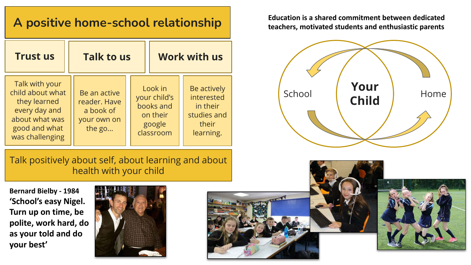### **A positive home-school relationship**

| <b>Trust us</b>                                                                                                           | <b>Talk to us</b>                                                  | <b>Work with us</b>                                                     |                                                                            |  |  |
|---------------------------------------------------------------------------------------------------------------------------|--------------------------------------------------------------------|-------------------------------------------------------------------------|----------------------------------------------------------------------------|--|--|
| Talk with your<br>child about what<br>they learned<br>every day and<br>about what was<br>good and what<br>was challenging | Be an active<br>reader. Have<br>a book of<br>your own on<br>the go | Look in<br>your child's<br>books and<br>on their<br>google<br>classroom | Be actively<br>interested<br>in their<br>studies and<br>their<br>learning. |  |  |

Talk positively about self, about learning and about health with your child

**Bernard Bielby - 1984 'School's easy Nigel. Turn up on time, be polite, work hard, do as your told and do your best'**



**Education is a shared commitment between dedicated teachers, motivated students and enthusiastic parents** 



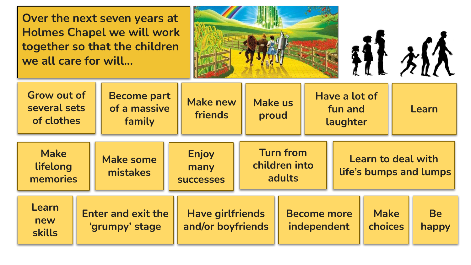**Over the next seven years at Holmes Chapel we will work together so that the children we all care for will...**



桃桃

| Grow out of<br>several sets<br>of clothes                                           |  | <b>Become part</b><br>of a massive<br>family | <b>Make new</b><br>friends               | <b>Make us</b><br>proud           |                                             | Have a lot of<br>fun and<br>laughter |                                              |                    | Learn |
|-------------------------------------------------------------------------------------|--|----------------------------------------------|------------------------------------------|-----------------------------------|---------------------------------------------|--------------------------------------|----------------------------------------------|--------------------|-------|
| <b>Make</b><br>lifelong<br>memories                                                 |  | <b>Make some</b><br>mistakes                 | <b>Enjoy</b><br>many<br><b>SUCCESSES</b> |                                   | <b>Turn from</b><br>children into<br>adults |                                      | Learn to deal with<br>life's bumps and lumps |                    |       |
| <b>Learn</b><br><b>Enter and exit the</b><br>new<br>'grumpy' stage<br><b>skills</b> |  | <b>Have girlfriends</b><br>and/or boyfriends |                                          | <b>Become more</b><br>independent |                                             | <b>Make</b><br>choices               |                                              | <b>Be</b><br>happy |       |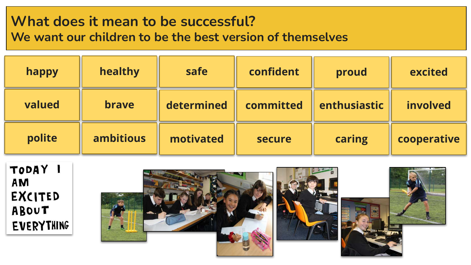## **What does it mean to be successful?**

**We want our children to be the best version of themselves**

| happy  | healthy          | safe       | confident | proud        | excited     |
|--------|------------------|------------|-----------|--------------|-------------|
| valued | <b>brave</b>     | determined | committed | enthusiastic | involved    |
| polite | <b>ambitious</b> | motivated  | secure    | caring       | cooperative |

TODAY I AM **EXCITED** ABOUT EVERYTHING

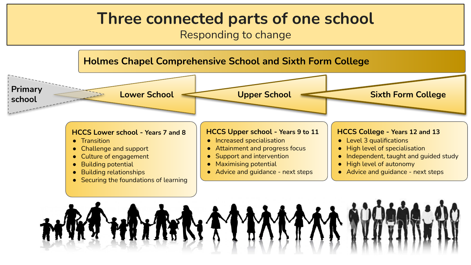### **Three connected parts of one school**

Responding to change